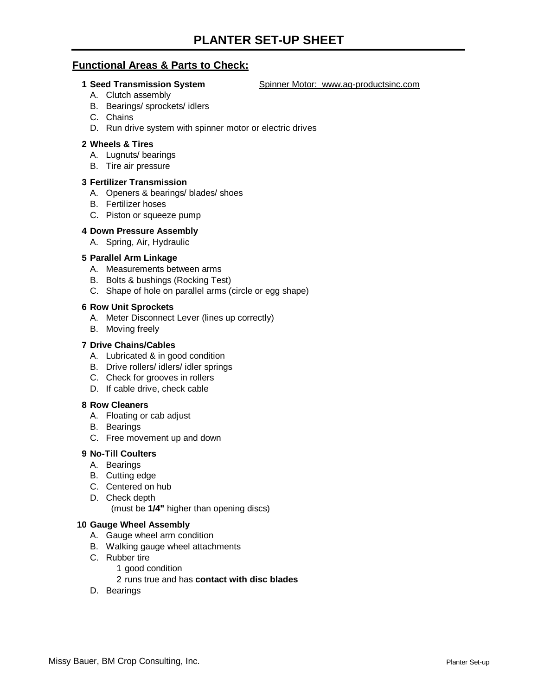## **Functional Areas & Parts to Check:**

**1 Seed Transmission System Spinner Motor: www.ag-productsinc.com** 

- A. Clutch assembly
- B. Bearings/ sprockets/ idlers
- C. Chains
- D. Run drive system with spinner motor or electric drives

#### **2 Wheels & Tires**

- A. Lugnuts/ bearings
- B. Tire air pressure

#### **3 Fertilizer Transmission**

- A. Openers & bearings/ blades/ shoes
- B. Fertilizer hoses
- C. Piston or squeeze pump
- **4 Down Pressure Assembly**
	- A. Spring, Air, Hydraulic

#### **5 Parallel Arm Linkage**

- A. Measurements between arms
- B. Bolts & bushings (Rocking Test)
- C. Shape of hole on parallel arms (circle or egg shape)

#### **6 Row Unit Sprockets**

- A. Meter Disconnect Lever (lines up correctly)
- B. Moving freely

#### **7 Drive Chains/Cables**

- A. Lubricated & in good condition
- B. Drive rollers/ idlers/ idler springs
- C. Check for grooves in rollers
- D. If cable drive, check cable

#### **8 Row Cleaners**

- A. Floating or cab adjust
- B. Bearings
- C. Free movement up and down

#### **9 No-Till Coulters**

- A. Bearings
- B. Cutting edge
- C. Centered on hub
- D. Check depth

(must be **1/4"** higher than opening discs)

#### **10 Gauge Wheel Assembly**

- A. Gauge wheel arm condition
- B. Walking gauge wheel attachments
- C. Rubber tire
	- 1 good condition

### 2 runs true and has **contact with disc blades**

D. Bearings